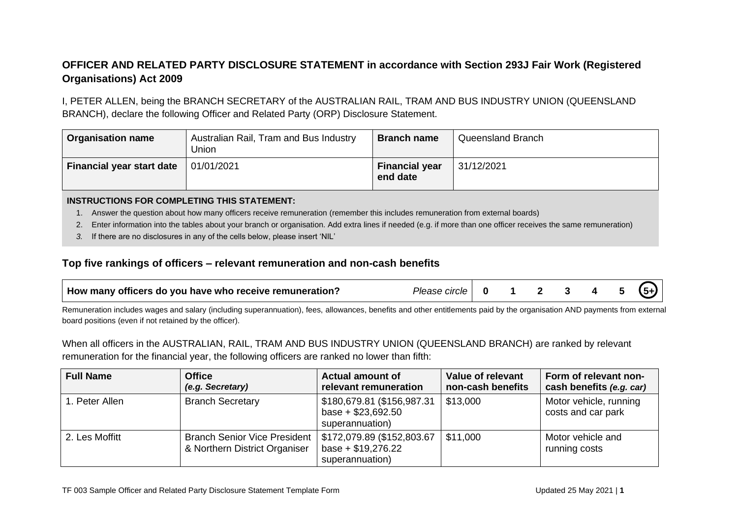## **OFFICER AND RELATED PARTY DISCLOSURE STATEMENT in accordance with Section 293J Fair Work (Registered Organisations) Act 2009**

I, PETER ALLEN, being the BRANCH SECRETARY of the AUSTRALIAN RAIL, TRAM AND BUS INDUSTRY UNION (QUEENSLAND BRANCH), declare the following Officer and Related Party (ORP) Disclosure Statement.

| <b>Organisation name</b>         | Australian Rail, Tram and Bus Industry<br>Union | <b>Branch name</b>                | Queensland Branch |
|----------------------------------|-------------------------------------------------|-----------------------------------|-------------------|
| <b>Financial year start date</b> | 01/01/2021                                      | <b>Financial year</b><br>end date | 31/12/2021        |

## **INSTRUCTIONS FOR COMPLETING THIS STATEMENT:**

- 1. Answer the question about how many officers receive remuneration (remember this includes remuneration from external boards)
- 2. Enter information into the tables about your branch or organisation. Add extra lines if needed (e.g. if more than one officer receives the same remuneration)
- *3.* If there are no disclosures in any of the cells below, please insert 'NIL'

## **Top five rankings of officers – relevant remuneration and non-cash benefits**

| How many officers do you have who receive remuneration? | Please<br>circle |  |  |  |  |  |  |  |  |
|---------------------------------------------------------|------------------|--|--|--|--|--|--|--|--|
|---------------------------------------------------------|------------------|--|--|--|--|--|--|--|--|

Remuneration includes wages and salary (including superannuation), fees, allowances, benefits and other entitlements paid by the organisation AND payments from external board positions (even if not retained by the officer).

When all officers in the AUSTRALIAN, RAIL, TRAM AND BUS INDUSTRY UNION (QUEENSLAND BRANCH) are ranked by relevant remuneration for the financial year, the following officers are ranked no lower than fifth:

| <b>Full Name</b> | <b>Office</b><br>(e.g. Secretary)                                    | <b>Actual amount of</b><br>relevant remuneration                     | Value of relevant<br>non-cash benefits | Form of relevant non-<br>cash benefits (e.g. car) |
|------------------|----------------------------------------------------------------------|----------------------------------------------------------------------|----------------------------------------|---------------------------------------------------|
| 1. Peter Allen   | <b>Branch Secretary</b>                                              | \$180,679.81 (\$156,987.31<br>base + $$23,692.50$<br>superannuation) | \$13,000                               | Motor vehicle, running<br>costs and car park      |
| 2. Les Moffitt   | <b>Branch Senior Vice President</b><br>& Northern District Organiser | \$172,079.89 (\$152,803.67<br>base + $$19,276.22$<br>superannuation) | \$11,000                               | Motor vehicle and<br>running costs                |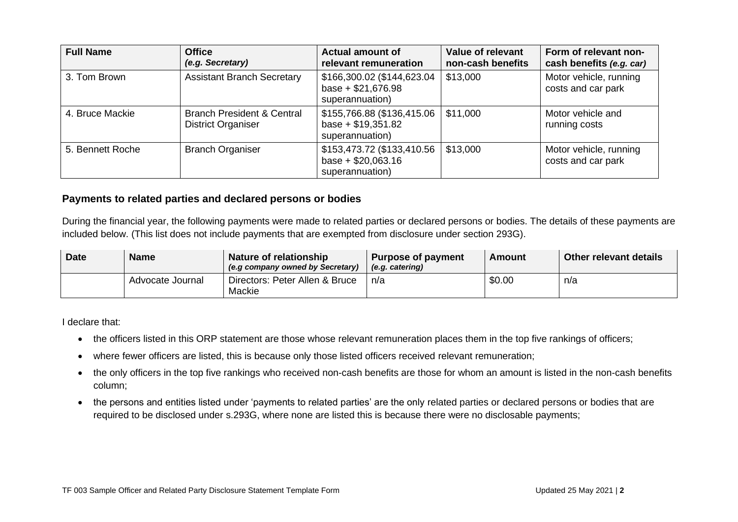| <b>Full Name</b> | <b>Office</b><br>(e.g. Secretary)                                  | <b>Actual amount of</b><br>relevant remuneration                     | Value of relevant<br>non-cash benefits | Form of relevant non-<br>cash benefits (e.g. car) |
|------------------|--------------------------------------------------------------------|----------------------------------------------------------------------|----------------------------------------|---------------------------------------------------|
| 3. Tom Brown     | <b>Assistant Branch Secretary</b>                                  | \$166,300.02 (\$144,623.04<br>base + $$21,676.98$<br>superannuation) | \$13,000                               | Motor vehicle, running<br>costs and car park      |
| 4. Bruce Mackie  | <b>Branch President &amp; Central</b><br><b>District Organiser</b> | \$155,766.88 (\$136,415.06<br>base + $$19,351.82$<br>superannuation) | \$11,000                               | Motor vehicle and<br>running costs                |
| 5. Bennett Roche | <b>Branch Organiser</b>                                            | \$153,473.72 (\$133,410.56<br>base + $$20,063.16$<br>superannuation) | \$13,000                               | Motor vehicle, running<br>costs and car park      |

## **Payments to related parties and declared persons or bodies**

During the financial year, the following payments were made to related parties or declared persons or bodies. The details of these payments are included below. (This list does not include payments that are exempted from disclosure under section 293G).

| <b>Date</b> | <b>Name</b>      | Nature of relationship<br>(e.g company owned by Secretary) | Purpose of payment<br>(e.g. catering) | Amount | Other relevant details |
|-------------|------------------|------------------------------------------------------------|---------------------------------------|--------|------------------------|
|             | Advocate Journal | Directors: Peter Allen & Bruce<br>Mackie                   | n/a                                   | \$0.00 | n/a                    |

I declare that:

- the officers listed in this ORP statement are those whose relevant remuneration places them in the top five rankings of officers;
- where fewer officers are listed, this is because only those listed officers received relevant remuneration;
- the only officers in the top five rankings who received non-cash benefits are those for whom an amount is listed in the non-cash benefits column;
- the persons and entities listed under 'payments to related parties' are the only related parties or declared persons or bodies that are required to be disclosed under s.293G, where none are listed this is because there were no disclosable payments;